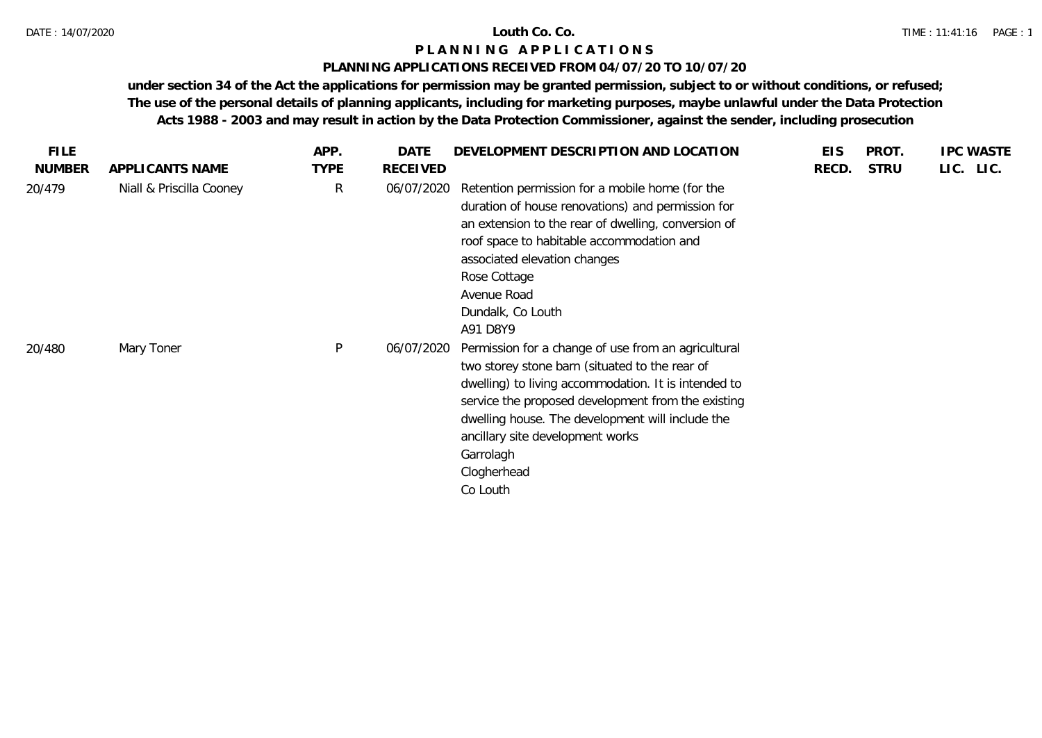# **PLANNING APPLICATIONS RECEIVED FROM 04/07/20 TO 10/07/20**

| <b>FILE</b>   |                          | APP.        | DATE            | DEVELOPMENT DESCRIPTION AND LOCATION                                                                                                                                                                                                                                                                                                                | <b>EIS</b> | <b>PROT</b> | <b>IPC WASTE</b> |
|---------------|--------------------------|-------------|-----------------|-----------------------------------------------------------------------------------------------------------------------------------------------------------------------------------------------------------------------------------------------------------------------------------------------------------------------------------------------------|------------|-------------|------------------|
| <b>NUMBER</b> | APPLICANTS NAME          | <b>TYPE</b> | <b>RECEIVED</b> |                                                                                                                                                                                                                                                                                                                                                     | RECD.      | <b>STRU</b> | LIC. LIC.        |
| 20/479        | Niall & Priscilla Cooney | R           | 06/07/2020      | Retention permission for a mobile home (for the<br>duration of house renovations) and permission for<br>an extension to the rear of dwelling, conversion of<br>roof space to habitable accommodation and<br>associated elevation changes<br>Rose Cottage<br>Avenue Road<br>Dundalk, Co Louth<br>A91 D8Y9                                            |            |             |                  |
| 20/480        | Mary Toner               | P           | 06/07/2020      | Permission for a change of use from an agricultural<br>two storey stone barn (situated to the rear of<br>dwelling) to living accommodation. It is intended to<br>service the proposed development from the existing<br>dwelling house. The development will include the<br>ancillary site development works<br>Garrolagh<br>Clogherhead<br>Co Louth |            |             |                  |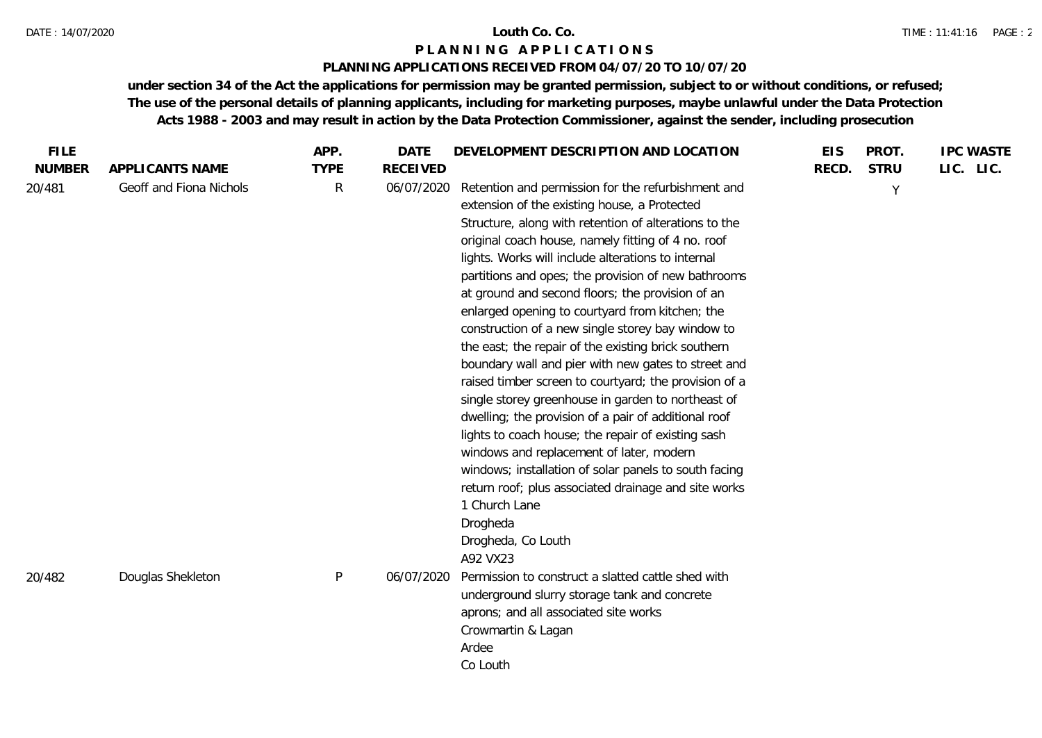# **PLANNING APPLICATIONS RECEIVED FROM 04/07/20 TO 10/07/20**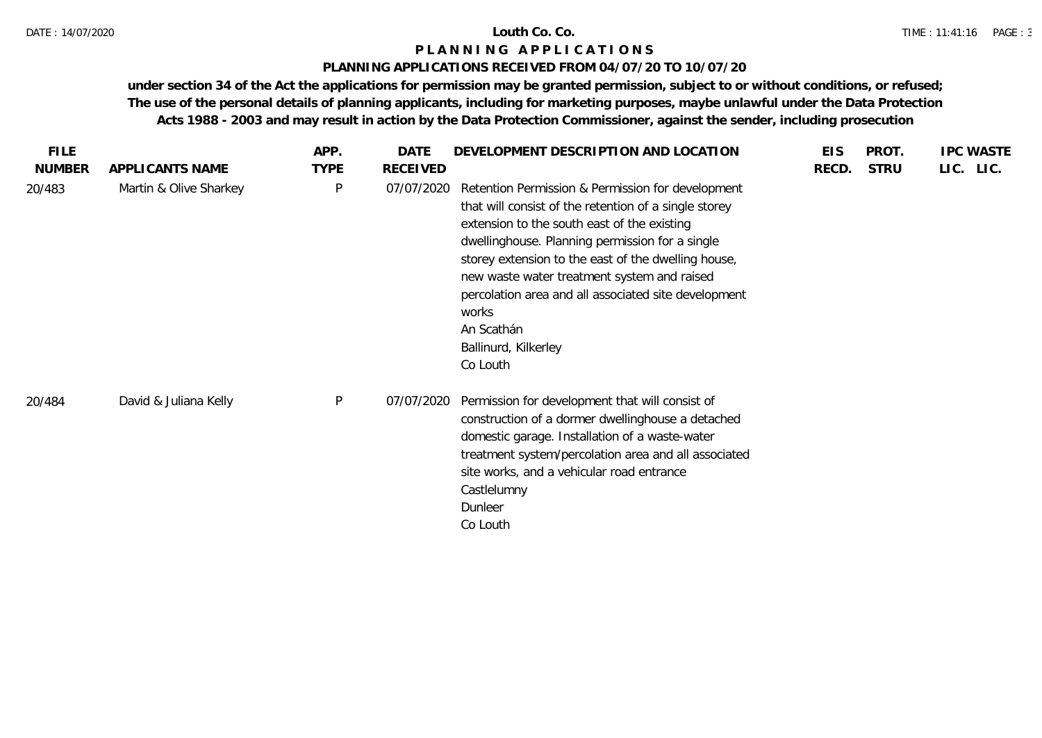## **PLANNING APPLICATIONS RECEIVED FROM 04/07/20 TO 10/07/20**

| <b>FILE</b>   |                        | APP.        | DATE            | DEVELOPMENT DESCRIPTION AND LOCATION                                                                                                                                                                                                                                                                                                                                                                                                  | <b>EIS</b> | PROT.       | <b>IPC WASTE</b> |
|---------------|------------------------|-------------|-----------------|---------------------------------------------------------------------------------------------------------------------------------------------------------------------------------------------------------------------------------------------------------------------------------------------------------------------------------------------------------------------------------------------------------------------------------------|------------|-------------|------------------|
| <b>NUMBER</b> | APPLICANTS NAME        | <b>TYPE</b> | <b>RECEIVED</b> |                                                                                                                                                                                                                                                                                                                                                                                                                                       | RECD.      | <b>STRU</b> | LIC. LIC.        |
| 20/483        | Martin & Olive Sharkey | P           | 07/07/2020      | Retention Permission & Permission for development<br>that will consist of the retention of a single storey<br>extension to the south east of the existing<br>dwellinghouse. Planning permission for a single<br>storey extension to the east of the dwelling house,<br>new waste water treatment system and raised<br>percolation area and all associated site development<br>works<br>An Scathán<br>Ballinurd, Kilkerley<br>Co Louth |            |             |                  |
| 20/484        | David & Juliana Kelly  | P           | 07/07/2020      | Permission for development that will consist of<br>construction of a dormer dwellinghouse a detached<br>domestic garage. Installation of a waste-water<br>treatment system/percolation area and all associated<br>site works, and a vehicular road entrance<br>Castlelumny<br>Dunleer<br>Co Louth                                                                                                                                     |            |             |                  |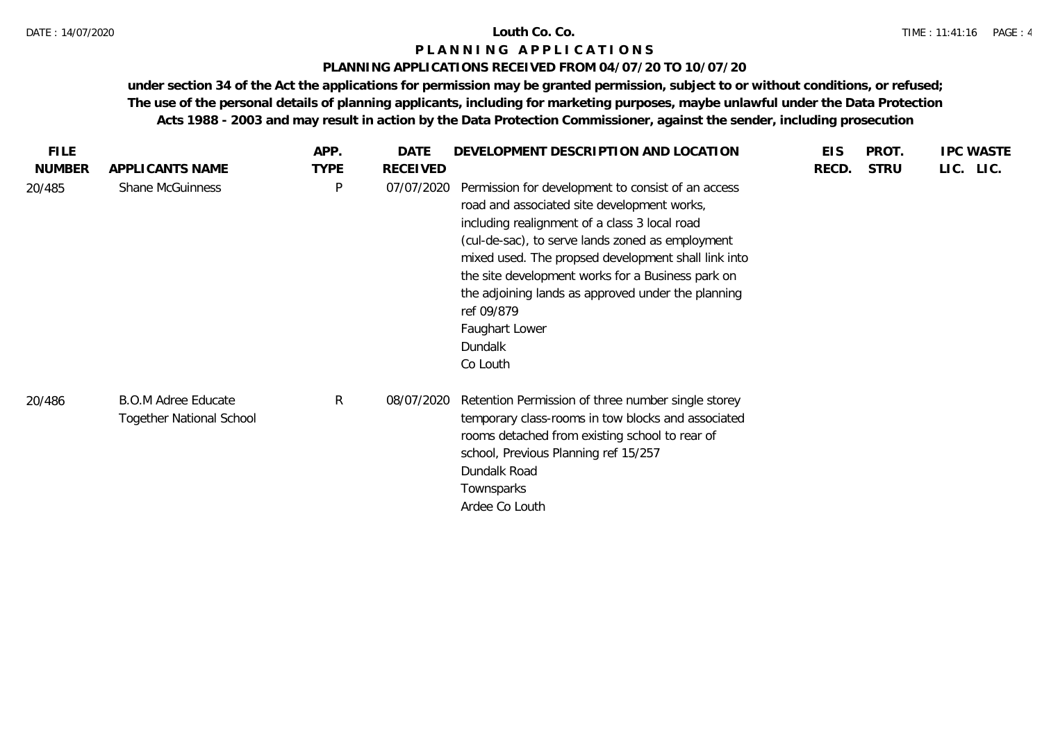### **PLANNING APPLICATIONS RECEIVED FROM 04/07/20 TO 10/07/20**

| <b>FILE</b>   |                                                               | APP.        | DATE            | DEVELOPMENT DESCRIPTION AND LOCATION                                                                                                                                                                                                                                                                                                                                                                                            | <b>EIS</b> | PROT.       | <b>IPC WASTE</b> |
|---------------|---------------------------------------------------------------|-------------|-----------------|---------------------------------------------------------------------------------------------------------------------------------------------------------------------------------------------------------------------------------------------------------------------------------------------------------------------------------------------------------------------------------------------------------------------------------|------------|-------------|------------------|
| <b>NUMBER</b> | APPLICANTS NAME                                               | <b>TYPE</b> | <b>RECEIVED</b> |                                                                                                                                                                                                                                                                                                                                                                                                                                 | RECD.      | <b>STRU</b> | LIC. LIC.        |
| 20/485        | <b>Shane McGuinness</b>                                       | P           | 07/07/2020      | Permission for development to consist of an access<br>road and associated site development works,<br>including realignment of a class 3 local road<br>(cul-de-sac), to serve lands zoned as employment<br>mixed used. The propsed development shall link into<br>the site development works for a Business park on<br>the adjoining lands as approved under the planning<br>ref 09/879<br>Faughart Lower<br>Dundalk<br>Co Louth |            |             |                  |
| 20/486        | <b>B.O.M Adree Educate</b><br><b>Together National School</b> | R           | 08/07/2020      | Retention Permission of three number single storey<br>temporary class-rooms in tow blocks and associated<br>rooms detached from existing school to rear of<br>school, Previous Planning ref 15/257<br>Dundalk Road<br>Townsparks<br>Ardee Co Louth                                                                                                                                                                              |            |             |                  |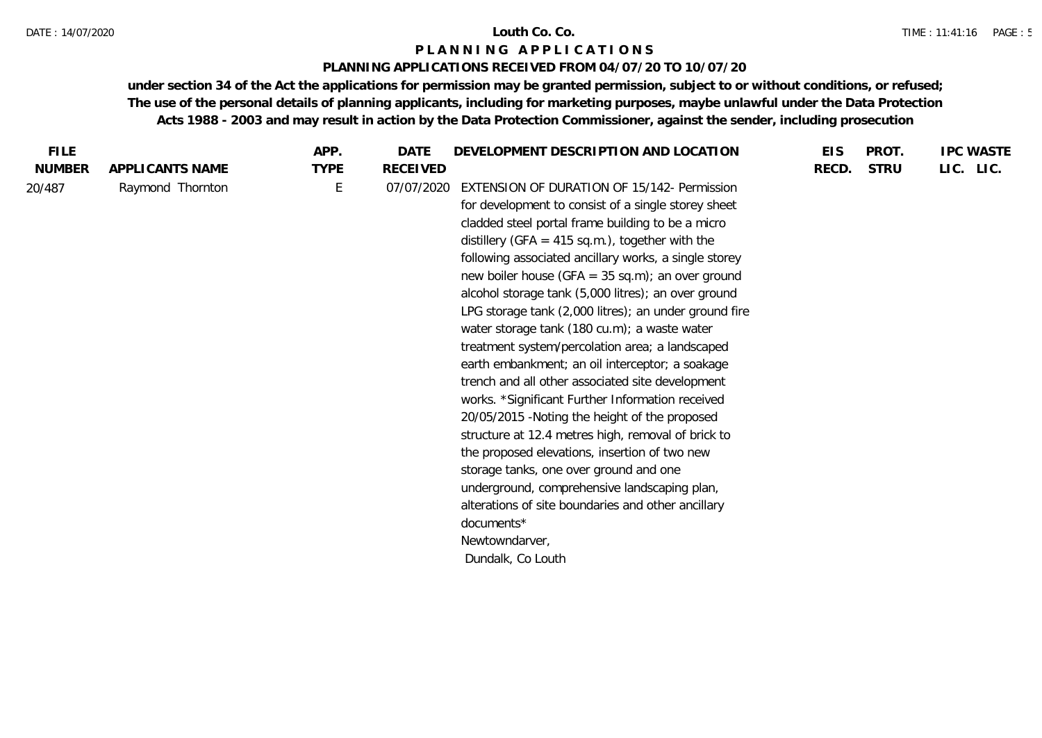### DATE : 14/07/2020 **Louth Co. Co.**

# **P L A N N I N G A P P L I C A T I O N S**

# **PLANNING APPLICATIONS RECEIVED FROM 04/07/20 TO 10/07/20**

| <b>FILE</b>   |                  | APP.        | <b>DATE</b>     | DEVELOPMENT DESCRIPTION AND LOCATION                  | <b>EIS</b> | PROT.       | <b>IPC WASTE</b> |
|---------------|------------------|-------------|-----------------|-------------------------------------------------------|------------|-------------|------------------|
| <b>NUMBER</b> | APPLICANTS NAME  | <b>TYPE</b> | <b>RECEIVED</b> |                                                       | RECD.      | <b>STRU</b> | LIC. LIC.        |
| 20/487        | Raymond Thornton | E           | 07/07/2020      | EXTENSION OF DURATION OF 15/142- Permission           |            |             |                  |
|               |                  |             |                 | for development to consist of a single storey sheet   |            |             |                  |
|               |                  |             |                 | cladded steel portal frame building to be a micro     |            |             |                  |
|               |                  |             |                 | distillery (GFA = $415$ sq.m.), together with the     |            |             |                  |
|               |                  |             |                 | following associated ancillary works, a single storey |            |             |                  |
|               |                  |             |                 | new boiler house (GFA = $35$ sq.m); an over ground    |            |             |                  |
|               |                  |             |                 | alcohol storage tank (5,000 litres); an over ground   |            |             |                  |
|               |                  |             |                 | LPG storage tank (2,000 litres); an under ground fire |            |             |                  |
|               |                  |             |                 | water storage tank (180 cu.m); a waste water          |            |             |                  |
|               |                  |             |                 | treatment system/percolation area; a landscaped       |            |             |                  |
|               |                  |             |                 | earth embankment; an oil interceptor; a soakage       |            |             |                  |
|               |                  |             |                 | trench and all other associated site development      |            |             |                  |
|               |                  |             |                 | works. *Significant Further Information received      |            |             |                  |
|               |                  |             |                 | 20/05/2015 - Noting the height of the proposed        |            |             |                  |
|               |                  |             |                 | structure at 12.4 metres high, removal of brick to    |            |             |                  |
|               |                  |             |                 | the proposed elevations, insertion of two new         |            |             |                  |
|               |                  |             |                 | storage tanks, one over ground and one                |            |             |                  |
|               |                  |             |                 | underground, comprehensive landscaping plan,          |            |             |                  |
|               |                  |             |                 | alterations of site boundaries and other ancillary    |            |             |                  |
|               |                  |             |                 | documents*                                            |            |             |                  |
|               |                  |             |                 | Newtowndarver,                                        |            |             |                  |
|               |                  |             |                 | Dundalk, Co Louth                                     |            |             |                  |
|               |                  |             |                 |                                                       |            |             |                  |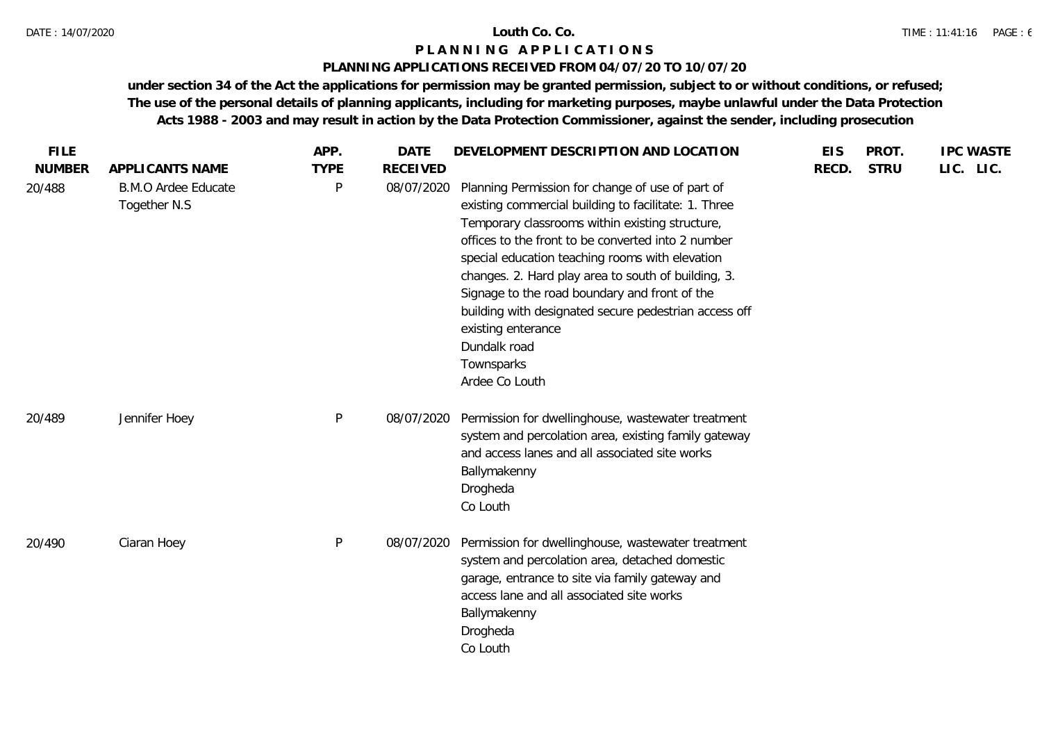# **PLANNING APPLICATIONS RECEIVED FROM 04/07/20 TO 10/07/20**

|                                            | APP.         | <b>DATE</b>     |                                                                                                                                                                                                                                                                                                                                                                                                                                                                                                             | <b>EIS</b>                           | PROT.       | <b>IPC WASTE</b> |
|--------------------------------------------|--------------|-----------------|-------------------------------------------------------------------------------------------------------------------------------------------------------------------------------------------------------------------------------------------------------------------------------------------------------------------------------------------------------------------------------------------------------------------------------------------------------------------------------------------------------------|--------------------------------------|-------------|------------------|
| APPLICANTS NAME                            | <b>TYPE</b>  | <b>RECEIVED</b> |                                                                                                                                                                                                                                                                                                                                                                                                                                                                                                             | RECD.                                | <b>STRU</b> | LIC. LIC.        |
| <b>B.M.O Ardee Educate</b><br>Together N.S | P            | 08/07/2020      | Planning Permission for change of use of part of<br>existing commercial building to facilitate: 1. Three<br>Temporary classrooms within existing structure,<br>offices to the front to be converted into 2 number<br>special education teaching rooms with elevation<br>changes. 2. Hard play area to south of building, 3.<br>Signage to the road boundary and front of the<br>building with designated secure pedestrian access off<br>existing enterance<br>Dundalk road<br>Townsparks<br>Ardee Co Louth |                                      |             |                  |
| Jennifer Hoey                              | $\mathsf{P}$ | 08/07/2020      | Permission for dwellinghouse, wastewater treatment<br>system and percolation area, existing family gateway<br>and access lanes and all associated site works<br>Ballymakenny<br>Drogheda<br>Co Louth                                                                                                                                                                                                                                                                                                        |                                      |             |                  |
| Ciaran Hoey                                | $\mathsf{P}$ | 08/07/2020      | Permission for dwellinghouse, wastewater treatment<br>system and percolation area, detached domestic<br>garage, entrance to site via family gateway and<br>access lane and all associated site works<br>Ballymakenny<br>Drogheda<br>Co Louth                                                                                                                                                                                                                                                                |                                      |             |                  |
|                                            |              |                 |                                                                                                                                                                                                                                                                                                                                                                                                                                                                                                             | DEVELOPMENT DESCRIPTION AND LOCATION |             |                  |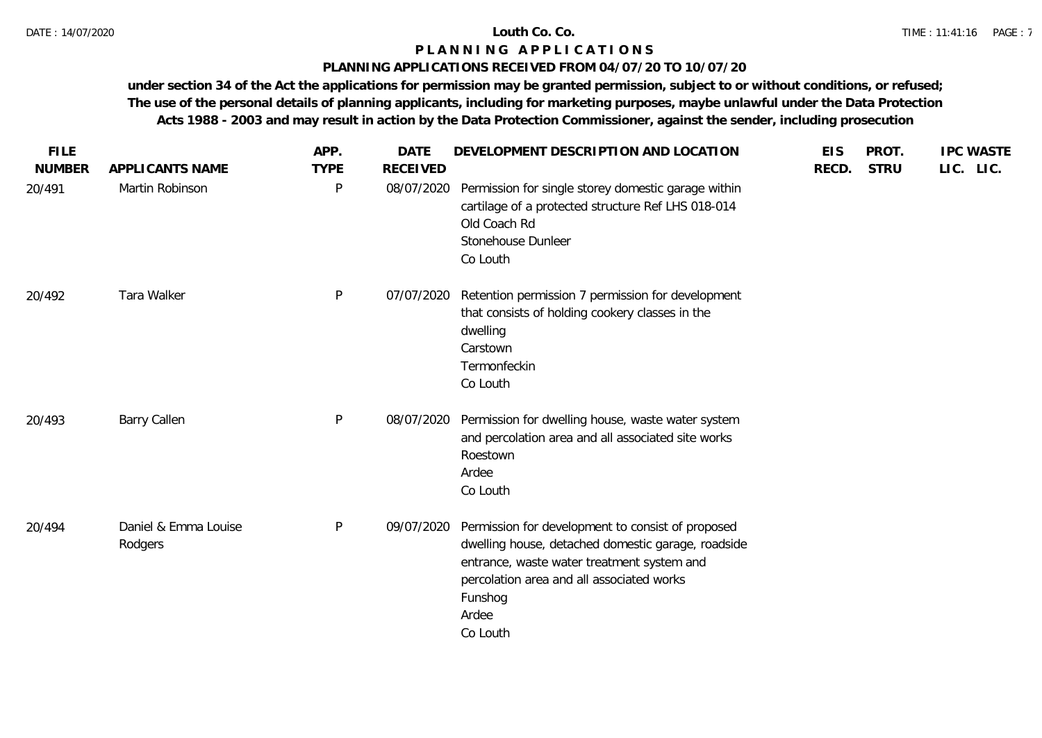## **PLANNING APPLICATIONS RECEIVED FROM 04/07/20 TO 10/07/20**

| <b>FILE</b>   |                                 | APP.         | <b>DATE</b>     | DEVELOPMENT DESCRIPTION AND LOCATION                                                                                                                                                                                               | <b>EIS</b> | PROT.       | <b>IPC WASTE</b> |
|---------------|---------------------------------|--------------|-----------------|------------------------------------------------------------------------------------------------------------------------------------------------------------------------------------------------------------------------------------|------------|-------------|------------------|
| <b>NUMBER</b> | APPLICANTS NAME                 | <b>TYPE</b>  | <b>RECEIVED</b> |                                                                                                                                                                                                                                    | RECD.      | <b>STRU</b> | LIC. LIC.        |
| 20/491        | Martin Robinson                 | P            | 08/07/2020      | Permission for single storey domestic garage within<br>cartilage of a protected structure Ref LHS 018-014<br>Old Coach Rd<br>Stonehouse Dunleer<br>Co Louth                                                                        |            |             |                  |
| 20/492        | Tara Walker                     | $\mathsf{P}$ | 07/07/2020      | Retention permission 7 permission for development<br>that consists of holding cookery classes in the<br>dwelling<br>Carstown<br>Termonfeckin<br>Co Louth                                                                           |            |             |                  |
| 20/493        | <b>Barry Callen</b>             | P            | 08/07/2020      | Permission for dwelling house, waste water system<br>and percolation area and all associated site works<br>Roestown<br>Ardee<br>Co Louth                                                                                           |            |             |                  |
| 20/494        | Daniel & Emma Louise<br>Rodgers | P            | 09/07/2020      | Permission for development to consist of proposed<br>dwelling house, detached domestic garage, roadside<br>entrance, waste water treatment system and<br>percolation area and all associated works<br>Funshog<br>Ardee<br>Co Louth |            |             |                  |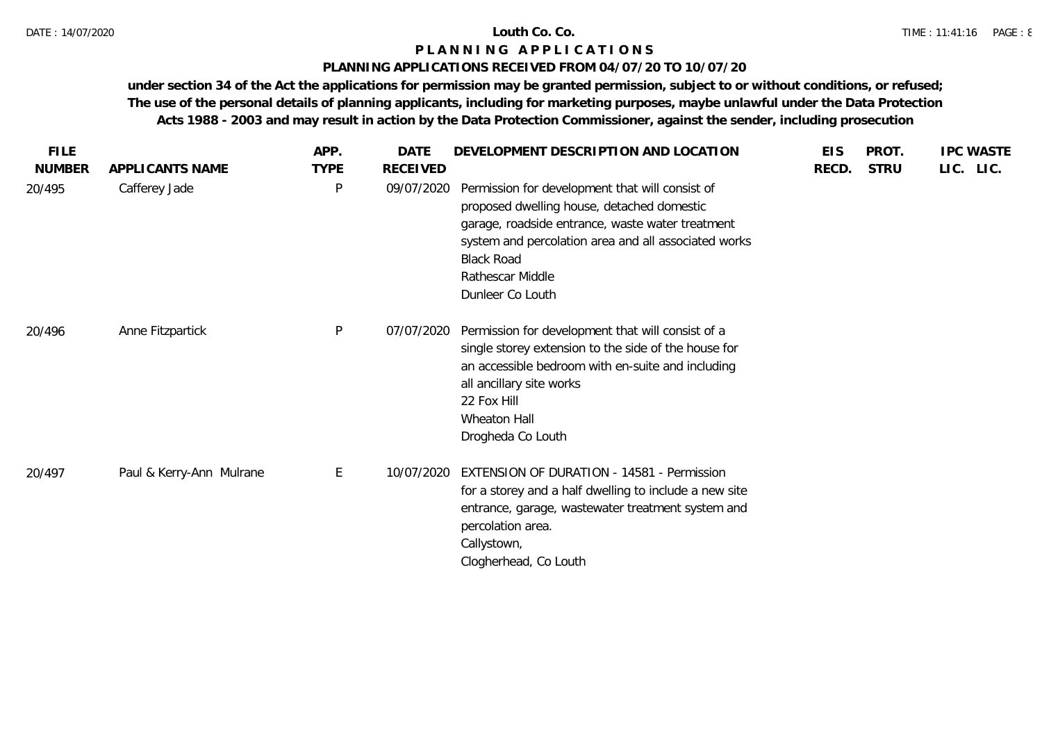# **PLANNING APPLICATIONS RECEIVED FROM 04/07/20 TO 10/07/20**

| <b>FILE</b>   |                          | APP.         | <b>DATE</b> | DEVELOPMENT DESCRIPTION AND LOCATION                                                                                                                                                                                                                                   | <b>EIS</b> | PROT.       | <b>IPC WASTE</b> |
|---------------|--------------------------|--------------|-------------|------------------------------------------------------------------------------------------------------------------------------------------------------------------------------------------------------------------------------------------------------------------------|------------|-------------|------------------|
| <b>NUMBER</b> | APPLICANTS NAME          | <b>TYPE</b>  | RECEIVED    |                                                                                                                                                                                                                                                                        | RECD.      | <b>STRU</b> | LIC. LIC.        |
| 20/495        | Cafferey Jade            | P            | 09/07/2020  | Permission for development that will consist of<br>proposed dwelling house, detached domestic<br>garage, roadside entrance, waste water treatment<br>system and percolation area and all associated works<br><b>Black Road</b><br>Rathescar Middle<br>Dunleer Co Louth |            |             |                  |
| 20/496        | Anne Fitzpartick         | $\mathsf{P}$ | 07/07/2020  | Permission for development that will consist of a<br>single storey extension to the side of the house for<br>an accessible bedroom with en-suite and including<br>all ancillary site works<br>22 Fox Hill<br>Wheaton Hall<br>Drogheda Co Louth                         |            |             |                  |
| 20/497        | Paul & Kerry-Ann Mulrane | E            | 10/07/2020  | <b>EXTENSION OF DURATION - 14581 - Permission</b><br>for a storey and a half dwelling to include a new site<br>entrance, garage, wastewater treatment system and<br>percolation area.<br>Callystown,<br>Clogherhead, Co Louth                                          |            |             |                  |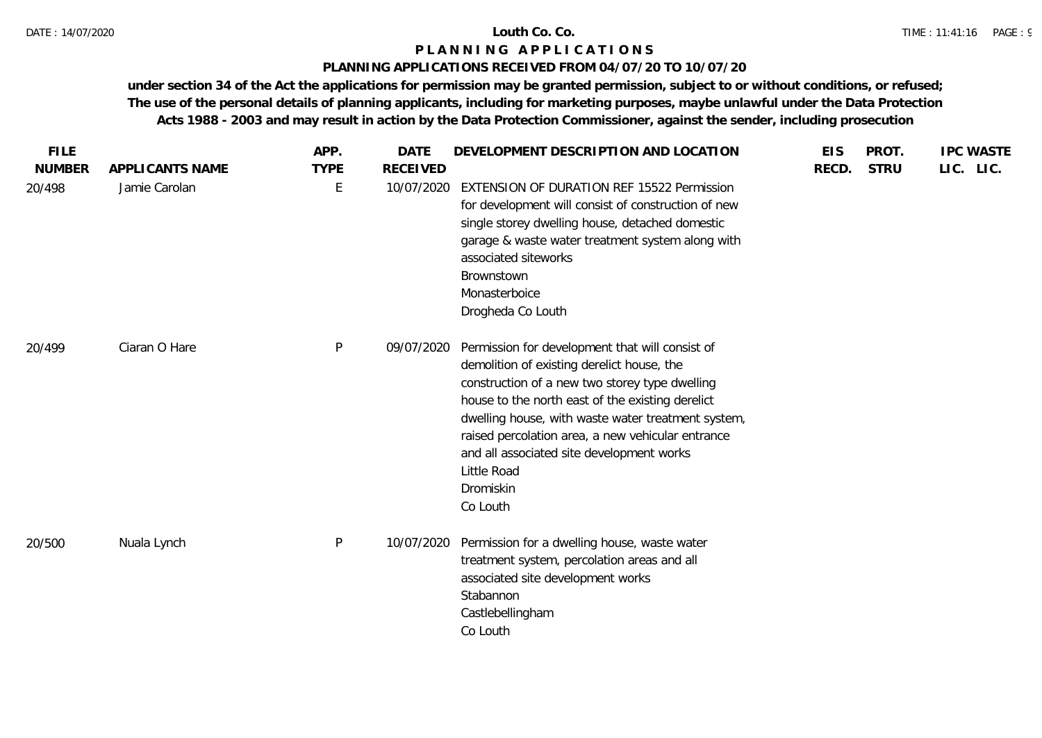# **PLANNING APPLICATIONS RECEIVED FROM 04/07/20 TO 10/07/20**

| <b>FILE</b>   |                 | APP.        | <b>DATE</b>     | DEVELOPMENT DESCRIPTION AND LOCATION                                                                                                                                                                                                                                                                                                                                                                | <b>EIS</b> | PROT.       | <b>IPC WASTE</b> |
|---------------|-----------------|-------------|-----------------|-----------------------------------------------------------------------------------------------------------------------------------------------------------------------------------------------------------------------------------------------------------------------------------------------------------------------------------------------------------------------------------------------------|------------|-------------|------------------|
| <b>NUMBER</b> | APPLICANTS NAME | <b>TYPE</b> | <b>RECEIVED</b> |                                                                                                                                                                                                                                                                                                                                                                                                     | RECD.      | <b>STRU</b> | LIC. LIC.        |
| 20/498        | Jamie Carolan   | E           | 10/07/2020      | <b>EXTENSION OF DURATION REF 15522 Permission</b><br>for development will consist of construction of new<br>single storey dwelling house, detached domestic<br>garage & waste water treatment system along with<br>associated siteworks<br>Brownstown<br>Monasterboice<br>Drogheda Co Louth                                                                                                         |            |             |                  |
| 20/499        | Ciaran O Hare   | P           | 09/07/2020      | Permission for development that will consist of<br>demolition of existing derelict house, the<br>construction of a new two storey type dwelling<br>house to the north east of the existing derelict<br>dwelling house, with waste water treatment system,<br>raised percolation area, a new vehicular entrance<br>and all associated site development works<br>Little Road<br>Dromiskin<br>Co Louth |            |             |                  |
| 20/500        | Nuala Lynch     | P           | 10/07/2020      | Permission for a dwelling house, waste water<br>treatment system, percolation areas and all<br>associated site development works<br>Stabannon<br>Castlebellingham<br>Co Louth                                                                                                                                                                                                                       |            |             |                  |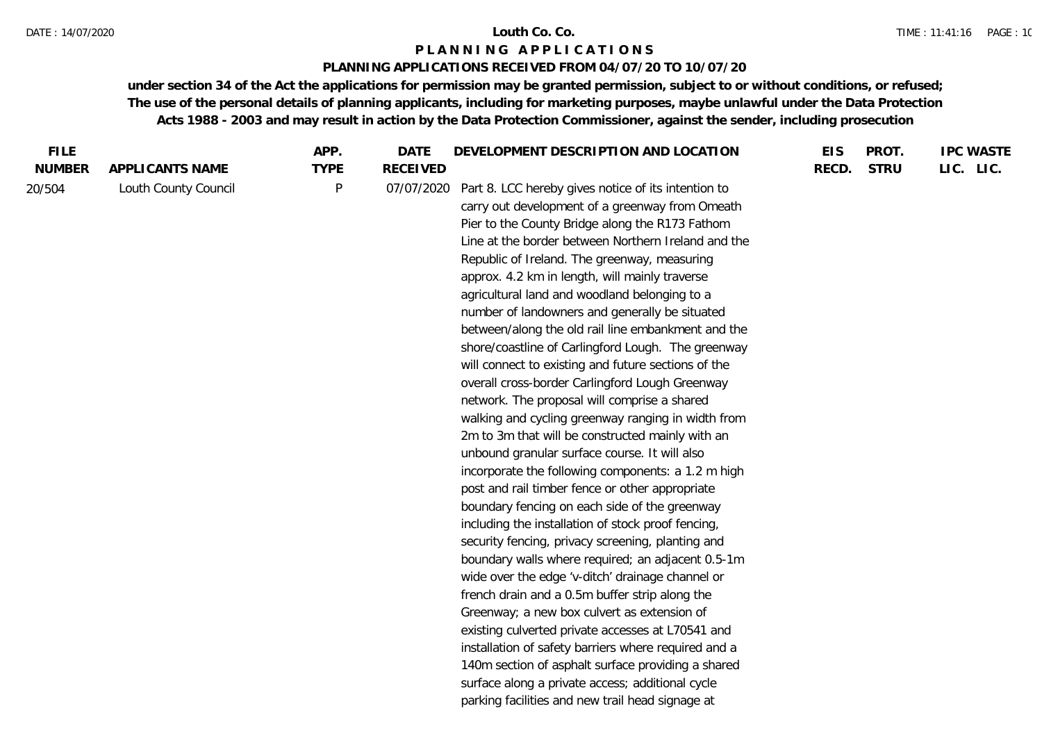# **PLANNING APPLICATIONS RECEIVED FROM 04/07/20 TO 10/07/20**

| <b>FILE</b>   |                      | APP.         | <b>DATE</b>                                       | DEVELOPMENT DESCRIPTION AND LOCATION                 | <b>EIS</b> | PROT.       | <b>IPC WASTE</b> |
|---------------|----------------------|--------------|---------------------------------------------------|------------------------------------------------------|------------|-------------|------------------|
| <b>NUMBER</b> | APPLICANTS NAME      | <b>TYPE</b>  | <b>RECEIVED</b>                                   |                                                      | RECD.      | <b>STRU</b> | LIC. LIC.        |
| 20/504        | Louth County Council | $\mathsf{P}$ | 07/07/2020                                        | Part 8. LCC hereby gives notice of its intention to  |            |             |                  |
|               |                      |              |                                                   | carry out development of a greenway from Omeath      |            |             |                  |
|               |                      |              |                                                   | Pier to the County Bridge along the R173 Fathom      |            |             |                  |
|               |                      |              |                                                   | Line at the border between Northern Ireland and the  |            |             |                  |
|               |                      |              |                                                   | Republic of Ireland. The greenway, measuring         |            |             |                  |
|               |                      |              |                                                   | approx. 4.2 km in length, will mainly traverse       |            |             |                  |
|               |                      |              |                                                   | agricultural land and woodland belonging to a        |            |             |                  |
|               |                      |              |                                                   | number of landowners and generally be situated       |            |             |                  |
|               |                      |              |                                                   | between/along the old rail line embankment and the   |            |             |                  |
|               |                      |              |                                                   | shore/coastline of Carlingford Lough. The greenway   |            |             |                  |
|               |                      |              |                                                   | will connect to existing and future sections of the  |            |             |                  |
|               |                      |              | overall cross-border Carlingford Lough Greenway   |                                                      |            |             |                  |
|               |                      |              | network. The proposal will comprise a shared      |                                                      |            |             |                  |
|               |                      |              |                                                   | walking and cycling greenway ranging in width from   |            |             |                  |
|               |                      |              |                                                   | 2m to 3m that will be constructed mainly with an     |            |             |                  |
|               |                      |              |                                                   | unbound granular surface course. It will also        |            |             |                  |
|               |                      |              |                                                   | incorporate the following components: a 1.2 m high   |            |             |                  |
|               |                      |              |                                                   | post and rail timber fence or other appropriate      |            |             |                  |
|               |                      |              |                                                   | boundary fencing on each side of the greenway        |            |             |                  |
|               |                      |              |                                                   | including the installation of stock proof fencing,   |            |             |                  |
|               |                      |              | security fencing, privacy screening, planting and |                                                      |            |             |                  |
|               |                      |              |                                                   | boundary walls where required; an adjacent 0.5-1m    |            |             |                  |
|               |                      |              |                                                   | wide over the edge 'v-ditch' drainage channel or     |            |             |                  |
|               |                      |              |                                                   | french drain and a 0.5m buffer strip along the       |            |             |                  |
|               |                      |              |                                                   | Greenway; a new box culvert as extension of          |            |             |                  |
|               |                      |              |                                                   | existing culverted private accesses at L70541 and    |            |             |                  |
|               |                      |              |                                                   | installation of safety barriers where required and a |            |             |                  |
|               |                      |              |                                                   | 140m section of asphalt surface providing a shared   |            |             |                  |
|               |                      |              |                                                   | surface along a private access; additional cycle     |            |             |                  |
|               |                      |              |                                                   | parking facilities and new trail head signage at     |            |             |                  |
|               |                      |              |                                                   |                                                      |            |             |                  |